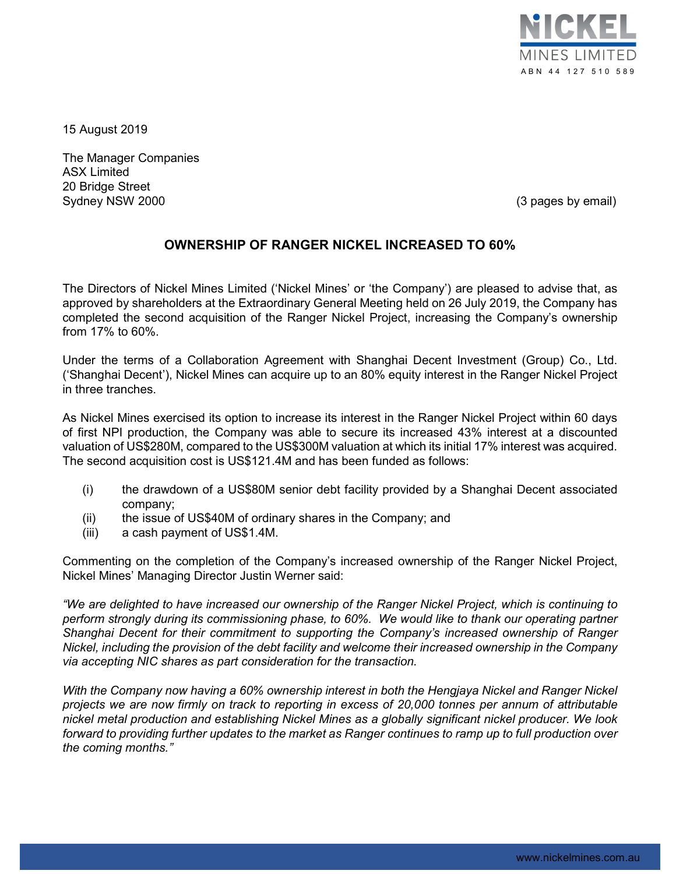

15 August 2019

The Manager Companies ASX Limited 20 Bridge Street Sydney NSW 2000 **(3)** pages by email) Sydney NSW 2000

## OWNERSHIP OF RANGER NICKEL INCREASED TO 60%

The Directors of Nickel Mines Limited ('Nickel Mines' or 'the Company') are pleased to advise that, as approved by shareholders at the Extraordinary General Meeting held on 26 July 2019, the Company has completed the second acquisition of the Ranger Nickel Project, increasing the Company's ownership from 17% to 60%.

Under the terms of a Collaboration Agreement with Shanghai Decent Investment (Group) Co., Ltd. ('Shanghai Decent'), Nickel Mines can acquire up to an 80% equity interest in the Ranger Nickel Project in three tranches.

As Nickel Mines exercised its option to increase its interest in the Ranger Nickel Project within 60 days of first NPI production, the Company was able to secure its increased 43% interest at a discounted valuation of US\$280M, compared to the US\$300M valuation at which its initial 17% interest was acquired. The second acquisition cost is US\$121.4M and has been funded as follows:

- (i) the drawdown of a US\$80M senior debt facility provided by a Shanghai Decent associated company;
- (ii) the issue of US\$40M of ordinary shares in the Company; and
- (iii) a cash payment of US\$1.4M.

Commenting on the completion of the Company's increased ownership of the Ranger Nickel Project, Nickel Mines' Managing Director Justin Werner said:

"We are delighted to have increased our ownership of the Ranger Nickel Project, which is continuing to perform strongly during its commissioning phase, to 60%. We would like to thank our operating partner Shanghai Decent for their commitment to supporting the Company's increased ownership of Ranger Nickel, including the provision of the debt facility and welcome their increased ownership in the Company via accepting NIC shares as part consideration for the transaction.

With the Company now having a 60% ownership interest in both the Hengjaya Nickel and Ranger Nickel projects we are now firmly on track to reporting in excess of 20,000 tonnes per annum of attributable nickel metal production and establishing Nickel Mines as a globally significant nickel producer. We look forward to providing further updates to the market as Ranger continues to ramp up to full production over the coming months."